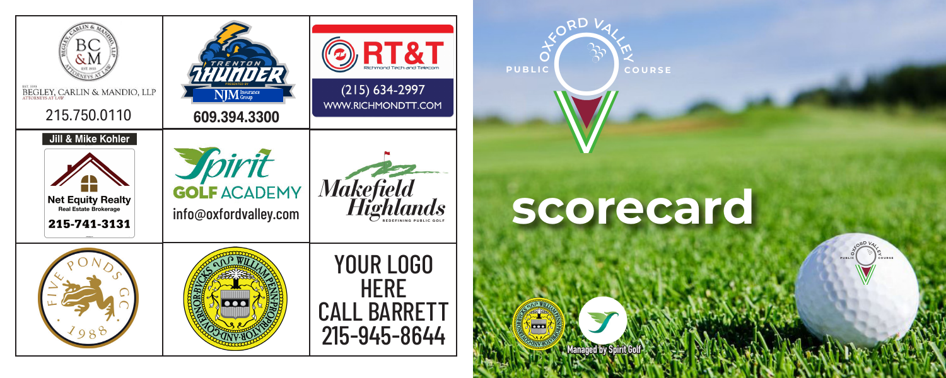

## **scorecard**

**Managed by Spirit Golf**

**COURSE** 

**VALLER** 

**PUBLIC**

m

**OXFOR**

**D**

**PUBLIC**

O**COURSE V OXFOR DVALLEY**